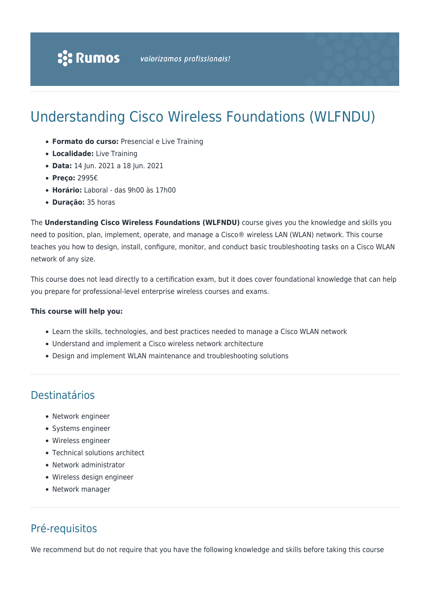# Understanding Cisco Wireless Foundations (WLFNDU)

- **Formato do curso:** Presencial e Live Training
- **Localidade:** Live Training
- **Data:** 14 Jun. 2021 a 18 Jun. 2021
- **Preço:** 2995€
- **Horário:** Laboral das 9h00 às 17h00
- **Duração:** 35 horas

The **Understanding Cisco Wireless Foundations (WLFNDU)** course gives you the knowledge and skills you need to position, plan, implement, operate, and manage a Cisco® wireless LAN (WLAN) network. This course teaches you how to design, install, configure, monitor, and conduct basic troubleshooting tasks on a Cisco WLAN network of any size.

This course does not lead directly to a certification exam, but it does cover foundational knowledge that can help you prepare for professional-level enterprise wireless courses and exams.

#### **This course will help you:**

- Learn the skills, technologies, and best practices needed to manage a Cisco WLAN network
- Understand and implement a Cisco wireless network architecture
- Design and implement WLAN maintenance and troubleshooting solutions

### Destinatários

- Network engineer
- Systems engineer
- Wireless engineer
- Technical solutions architect
- Network administrator
- Wireless design engineer
- Network manager

# Pré-requisitos

We recommend but do not require that you have the following knowledge and skills before taking this course